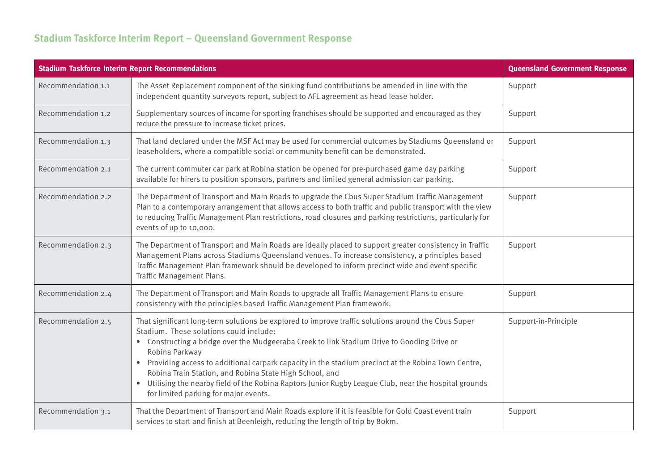## **Stadium Taskforce Interim Report – Queensland Government Response**

| <b>Stadium Taskforce Interim Report Recommendations</b> |                                                                                                                                                                                                                                                                                                                                                                                                                                                                                                                                                                                                  | <b>Queensland Government Response</b> |
|---------------------------------------------------------|--------------------------------------------------------------------------------------------------------------------------------------------------------------------------------------------------------------------------------------------------------------------------------------------------------------------------------------------------------------------------------------------------------------------------------------------------------------------------------------------------------------------------------------------------------------------------------------------------|---------------------------------------|
| Recommendation 1.1                                      | The Asset Replacement component of the sinking fund contributions be amended in line with the<br>independent quantity surveyors report, subject to AFL agreement as head lease holder.                                                                                                                                                                                                                                                                                                                                                                                                           | Support                               |
| Recommendation 1.2                                      | Supplementary sources of income for sporting franchises should be supported and encouraged as they<br>reduce the pressure to increase ticket prices.                                                                                                                                                                                                                                                                                                                                                                                                                                             | Support                               |
| Recommendation 1.3                                      | That land declared under the MSF Act may be used for commercial outcomes by Stadiums Queensland or<br>leaseholders, where a compatible social or community benefit can be demonstrated.                                                                                                                                                                                                                                                                                                                                                                                                          | Support                               |
| Recommendation 2.1                                      | The current commuter car park at Robina station be opened for pre-purchased game day parking<br>available for hirers to position sponsors, partners and limited general admission car parking.                                                                                                                                                                                                                                                                                                                                                                                                   | Support                               |
| Recommendation 2.2                                      | The Department of Transport and Main Roads to upgrade the Cbus Super Stadium Traffic Management<br>Plan to a contemporary arrangement that allows access to both traffic and public transport with the view<br>to reducing Traffic Management Plan restrictions, road closures and parking restrictions, particularly for<br>events of up to 10,000.                                                                                                                                                                                                                                             | Support                               |
| Recommendation 2.3                                      | The Department of Transport and Main Roads are ideally placed to support greater consistency in Traffic<br>Management Plans across Stadiums Queensland venues. To increase consistency, a principles based<br>Traffic Management Plan framework should be developed to inform precinct wide and event specific<br>Traffic Management Plans.                                                                                                                                                                                                                                                      | Support                               |
| Recommendation 2.4                                      | The Department of Transport and Main Roads to upgrade all Traffic Management Plans to ensure<br>consistency with the principles based Traffic Management Plan framework.                                                                                                                                                                                                                                                                                                                                                                                                                         | Support                               |
| Recommendation 2.5                                      | That significant long-term solutions be explored to improve traffic solutions around the Cbus Super<br>Stadium. These solutions could include:<br>• Constructing a bridge over the Mudgeeraba Creek to link Stadium Drive to Gooding Drive or<br>Robina Parkway<br>Providing access to additional carpark capacity in the stadium precinct at the Robina Town Centre,<br>$\bullet$<br>Robina Train Station, and Robina State High School, and<br>• Utilising the nearby field of the Robina Raptors Junior Rugby League Club, near the hospital grounds<br>for limited parking for major events. | Support-in-Principle                  |
| Recommendation 3.1                                      | That the Department of Transport and Main Roads explore if it is feasible for Gold Coast event train<br>services to start and finish at Beenleigh, reducing the length of trip by 80km.                                                                                                                                                                                                                                                                                                                                                                                                          | Support                               |